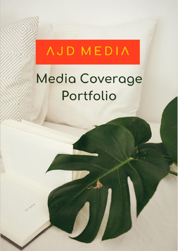## **AJD MEDIA**

## Media Coverage Portfolio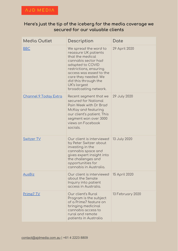## **Here's just the tip of the iceberg for the media coverage we secured for our valuable clients**

| <b>Media Outlet</b>           | Description                                                                                                                                                                                                                                                | Date             |
|-------------------------------|------------------------------------------------------------------------------------------------------------------------------------------------------------------------------------------------------------------------------------------------------------|------------------|
| <b>BBC</b>                    | We spread the word to<br>reassure UK patients<br>that the medical<br>cannabis sector had<br>adapted to COVID<br>restrictions, ensuring<br>access was eased to the<br>care they needed. We<br>did this through the<br>UK's largest<br>broadcasting network. | 29 April 2020    |
| <u> Channel 9 Today Extra</u> | Recent segment that we<br>secured for National<br>Pain Week with Dr Brad<br>McKay and featuring<br>our client's patient. This<br>segment won over 3000<br>views on Facebook<br>socials.                                                                    | 29 July 2020     |
| <b>Switzer TV</b>             | Our client is interviewed<br>by Peter Switzer about<br>investing in the<br>cannabis space and<br>gives expert insight into<br>the challenges and<br>opportunities for<br>cannabis in Australia.                                                            | 13 July 2020     |
| <b>AusBiz</b>                 | Our client is interviewed<br>about the Senate<br>Inquiry into patient<br>access in Australia.                                                                                                                                                              | 15 April 2020    |
| <u>Prime7 TV</u>              | Our client's Rural<br>Program is the subject<br>of a Prime7 feature on<br>bringing medicinal<br>cannabis access to<br>rural and remote<br>patients in Australia                                                                                            | 13 February 2020 |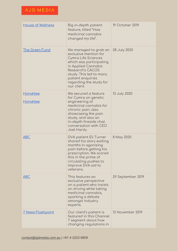| <b>House of Wellness</b>  | Big in-depth patient<br>feature, titled "How<br>medicinal cannabis<br>changed my life".                                                                                                                                                             | 19 October 2019   |
|---------------------------|-----------------------------------------------------------------------------------------------------------------------------------------------------------------------------------------------------------------------------------------------------|-------------------|
| <b>The Green Fund</b>     | We managed to grab an<br>exclusive mention for<br><b>Cymra Life Sciences</b><br>which was participating<br>in Applied Cannabis<br><b>Research's CACOS</b><br>study. This led to many<br>patient enquiries<br>regarding the study for<br>our client. | 28 July 2020      |
| Honghlee<br>Honghlee      | We secured a feature<br>for Cymra on genetic<br>engineering of<br>medicinal cannabis for<br>chronic pain, also<br>showcasing the pain<br>study, and also an<br>in-depth fireside chat<br>conversation with CEO<br>Joel Hardy.                       | 13 July 2020      |
| <b>ABC</b>                | DVA patient Eli Turner<br>shared his story waiting<br>months in agonising<br>pain before getting his<br>prescription. We scored<br>this in the prime of<br>circulating pushes to<br>improve DVA aid to<br>veterans.                                 | 8 May 2020        |
| <b>ABC</b>                | This features an<br>exclusive perspective<br>on a patient who insists<br>on driving while taking<br>medicinal cannabis,<br>sparking a debate<br>amongst industry<br>experts.                                                                        | 29 September 2019 |
| <u> 7 News Flashpoint</u> | Our client's patient is<br>featured in this Channel<br>7 segment about how<br>changing regulations in                                                                                                                                               | 12 November 2019  |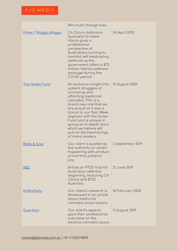|                        | WA could change lives.                                                                                                                                                                                                                                                                                                                                |                  |
|------------------------|-------------------------------------------------------------------------------------------------------------------------------------------------------------------------------------------------------------------------------------------------------------------------------------------------------------------------------------------------------|------------------|
| Prime 7 Wagga Wagga    | <b>CA Clinics Addiction</b><br>Specialist Dr Mark<br>Hardy gives a<br>professional<br>perspective of<br>Australians turning to<br>harmful self-medicating<br>methods as the<br>government offers a \$73<br>million 'mental-wellness'<br>package during the<br>COVID period.                                                                           | 24 April 2020    |
| <b>The Green Fund</b>  | An exclusive insight into<br>patient struggles of<br>accessing and<br>affording medicinal<br>cannabis. This is a<br>brand new one that we<br>are proud of: it was a<br>bonus to our Pain Week<br>segment with the Green<br>Fund and is unique in<br>giving an in-depth story<br>which we believe will<br>pull on the heartstrings<br>of many readers. | 13 August 2020   |
| <u>Body &amp; Soul</u> | Our client is quoted as<br>the authority on what's<br>happening with product<br>prices that patients<br>pay.                                                                                                                                                                                                                                          | 2 September 2019 |
| ABC                    | Article on PTSD trial for<br>Australian veterans<br>beginning, featuring CA<br><b>Clinics and BOD</b><br>Australia                                                                                                                                                                                                                                    | 12 June 2019     |
| <b>MJBizDaily</b>      | Our client's research is<br>showcased in an article<br>about medicinal<br>cannabis prescriptions                                                                                                                                                                                                                                                      | 10 February 2020 |
| Guardian               | Our client's experts<br>gave their professional<br>overviews on the<br>medical cannabis space                                                                                                                                                                                                                                                         | 11 August 2019   |